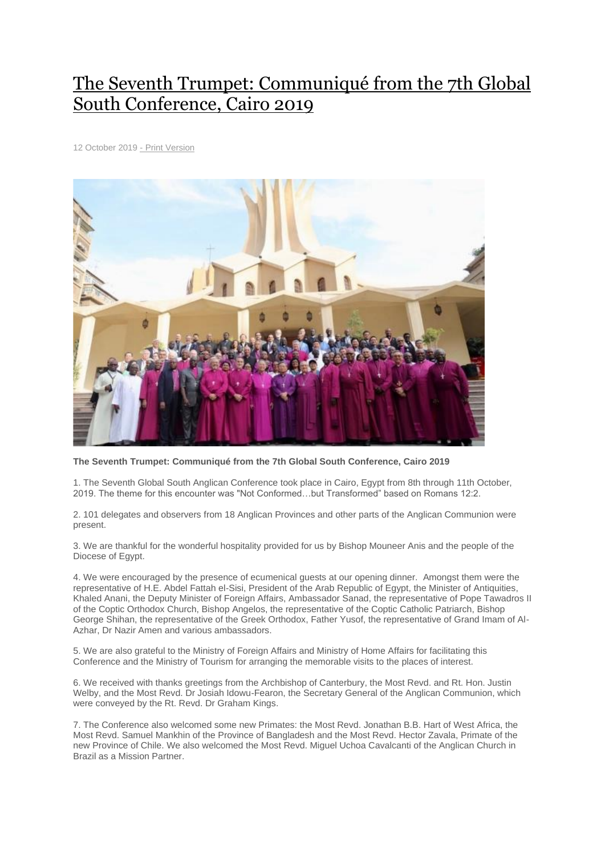## The Seventh Trumpet: [Communiqué](http://www.globalsouthanglican.org/index.php/blog/comments/the_seventh_trumpet_communique) from the 7th Global South [Conference,](http://www.globalsouthanglican.org/index.php/blog/comments/the_seventh_trumpet_communique) Cairo 2019

12 October 2019 - Print [Version](http://globalsouthanglican.org/index.php/blog/printing/the_seventh_trumpet_communique)



**The Seventh Trumpet: Communiqué from the 7th Global South Conference, Cairo 2019**

1. The Seventh Global South Anglican Conference took place in Cairo, Egypt from 8th through 11th October, 2019. The theme for this encounter was "Not Conformed…but Transformed" based on Romans 12:2.

2. 101 delegates and observers from 18 Anglican Provinces and other parts of the Anglican Communion were present.

3. We are thankful for the wonderful hospitality provided for us by Bishop Mouneer Anis and the people of the Diocese of Egypt.

4. We were encouraged by the presence of ecumenical guests at our opening dinner. Amongst them were the representative of H.E. Abdel Fattah el-Sisi, President of the Arab Republic of Egypt, the Minister of Antiquities, Khaled Anani, the Deputy Minister of Foreign Affairs, Ambassador Sanad, the representative of Pope Tawadros II of the Coptic Orthodox Church, Bishop Angelos, the representative of the Coptic Catholic Patriarch, Bishop George Shihan, the representative of the Greek Orthodox, Father Yusof, the representative of Grand Imam of Al-Azhar, Dr Nazir Amen and various ambassadors.

5. We are also grateful to the Ministry of Foreign Affairs and Ministry of Home Affairs for facilitating this Conference and the Ministry of Tourism for arranging the memorable visits to the places of interest.

6. We received with thanks greetings from the Archbishop of Canterbury, the Most Revd. and Rt. Hon. Justin Welby, and the Most Revd. Dr Josiah Idowu-Fearon, the Secretary General of the Anglican Communion, which were conveyed by the Rt. Revd. Dr Graham Kings.

7. The Conference also welcomed some new Primates: the Most Revd. Jonathan B.B. Hart of West Africa, the Most Revd. Samuel Mankhin of the Province of Bangladesh and the Most Revd. Hector Zavala, Primate of the new Province of Chile. We also welcomed the Most Revd. Miguel Uchoa Cavalcanti of the Anglican Church in Brazil as a Mission Partner.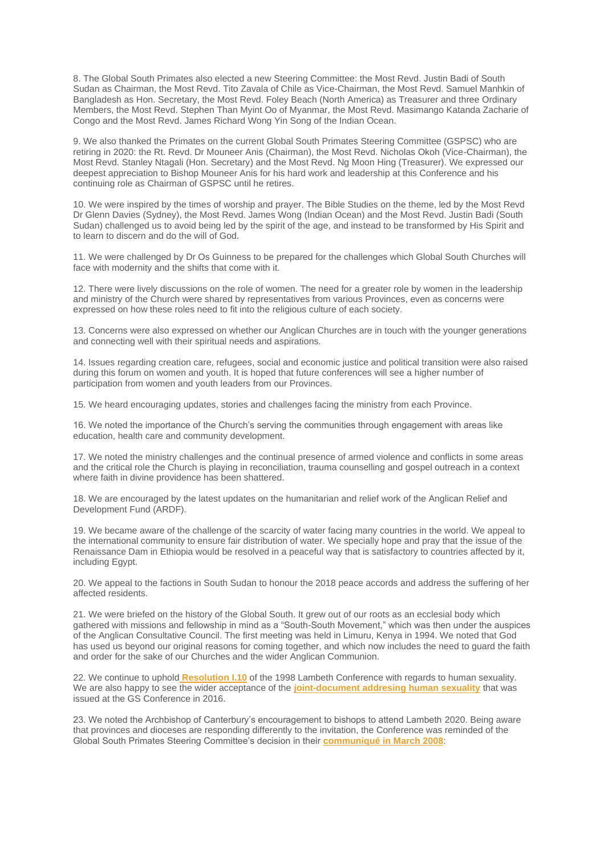8. The Global South Primates also elected a new Steering Committee: the Most Revd. Justin Badi of South Sudan as Chairman, the Most Revd. Tito Zavala of Chile as Vice-Chairman, the Most Revd. Samuel Manhkin of Bangladesh as Hon. Secretary, the Most Revd. Foley Beach (North America) as Treasurer and three Ordinary Members, the Most Revd. Stephen Than Myint Oo of Myanmar, the Most Revd. Masimango Katanda Zacharie of Congo and the Most Revd. James Richard Wong Yin Song of the Indian Ocean.

9. We also thanked the Primates on the current Global South Primates Steering Committee (GSPSC) who are retiring in 2020: the Rt. Revd. Dr Mouneer Anis (Chairman), the Most Revd. Nicholas Okoh (Vice-Chairman), the Most Revd. Stanley Ntagali (Hon. Secretary) and the Most Revd. Ng Moon Hing (Treasurer). We expressed our deepest appreciation to Bishop Mouneer Anis for his hard work and leadership at this Conference and his continuing role as Chairman of GSPSC until he retires.

10. We were inspired by the times of worship and prayer. The Bible Studies on the theme, led by the Most Revd Dr Glenn Davies (Sydney), the Most Revd. James Wong (Indian Ocean) and the Most Revd. Justin Badi (South Sudan) challenged us to avoid being led by the spirit of the age, and instead to be transformed by His Spirit and to learn to discern and do the will of God.

11. We were challenged by Dr Os Guinness to be prepared for the challenges which Global South Churches will face with modernity and the shifts that come with it.

12. There were lively discussions on the role of women. The need for a greater role by women in the leadership and ministry of the Church were shared by representatives from various Provinces, even as concerns were expressed on how these roles need to fit into the religious culture of each society.

13. Concerns were also expressed on whether our Anglican Churches are in touch with the younger generations and connecting well with their spiritual needs and aspirations.

14. Issues regarding creation care, refugees, social and economic justice and political transition were also raised during this forum on women and youth. It is hoped that future conferences will see a higher number of participation from women and youth leaders from our Provinces.

15. We heard encouraging updates, stories and challenges facing the ministry from each Province.

16. We noted the importance of the Church's serving the communities through engagement with areas like education, health care and community development.

17. We noted the ministry challenges and the continual presence of armed violence and conflicts in some areas and the critical role the Church is playing in reconciliation, trauma counselling and gospel outreach in a context where faith in divine providence has been shattered.

18. We are encouraged by the latest updates on the humanitarian and relief work of the Anglican Relief and Development Fund (ARDF).

19. We became aware of the challenge of the scarcity of water facing many countries in the world. We appeal to the international community to ensure fair distribution of water. We specially hope and pray that the issue of the Renaissance Dam in Ethiopia would be resolved in a peaceful way that is satisfactory to countries affected by it, including Egypt.

20. We appeal to the factions in South Sudan to honour the 2018 peace accords and address the suffering of her affected residents.

21. We were briefed on the history of the Global South. It grew out of our roots as an ecclesial body which gathered with missions and fellowship in mind as a "South-South Movement," which was then under the auspices of the Anglican Consultative Council. The first meeting was held in Limuru, Kenya in 1994. We noted that God has used us beyond our original reasons for coming together, and which now includes the need to guard the faith and order for the sake of our Churches and the wider Anglican Communion.

22. We continue to uphold **[Resolution](https://www.anglicancommunion.org/resources/document-library/lambeth-conference/1998/section-i-called-to-full-humanity/section-i10-human-sexuality) I.10** of the 1998 Lambeth Conference with regards to human sexuality. We are also happy to see the wider acceptance of the **[joint-document](http://www.globalsouthanglican.org/blog/comments/statement_from_the_global_south_primates_and_gafcon_primates_council_concer) addresing human sexuality** that was issued at the GS Conference in 2016.

23. We noted the Archbishop of Canterbury's encouragement to bishops to attend Lambeth 2020. Being aware that provinces and dioceses are responding differently to the invitation, the Conference was reminded of the Global South Primates Steering Committee's decision in their **[communiqué](http://www.globalsouthanglican.org/blog/comments/statement_on_lambeth_conference_2008) in March 2008**: